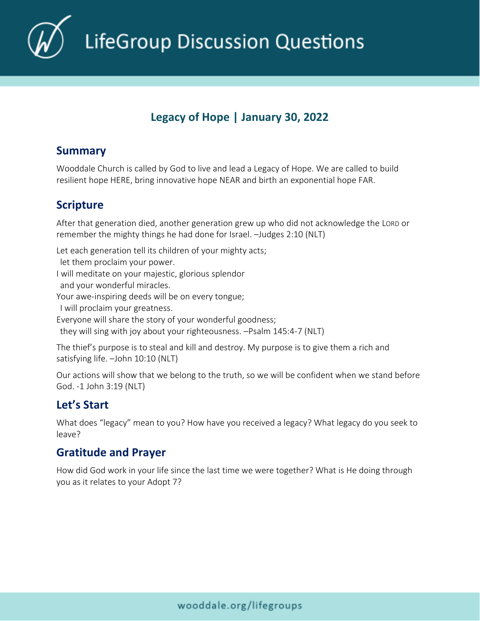**LifeGroup Discussion Questions** 

# **Legacy of Hope | January 30, 2022**

#### **Summary**

Wooddale Church is called by God to live and lead a Legacy of Hope. We are called to build resilient hope HERE, bring innovative hope NEAR and birth an exponential hope FAR.

#### **Scripture**

After that generation died, another generation grew up who did not acknowledge the LORD or remember the mighty things he had done for Israel. –Judges 2:10 (NLT)

Let each generation tell its children of your mighty acts;

 let them proclaim your power. I will meditate on your majestic, glorious splendor and your wonderful miracles. Your awe-inspiring deeds will be on every tongue;

I will proclaim your greatness.

Everyone will share the story of your wonderful goodness;

they will sing with joy about your righteousness. –Psalm 145:4-7 (NLT)

The thief's purpose is to steal and kill and destroy. My purpose is to give them a rich and satisfying life. –John 10:10 (NLT)

Our actions will show that we belong to the truth, so we will be confident when we stand before God. -1 John 3:19 (NLT)

# **Let's Start**

What does "legacy" mean to you? How have you received a legacy? What legacy do you seek to leave?

### **Gratitude and Prayer**

How did God work in your life since the last time we were together? What is He doing through you as it relates to your Adopt 7?